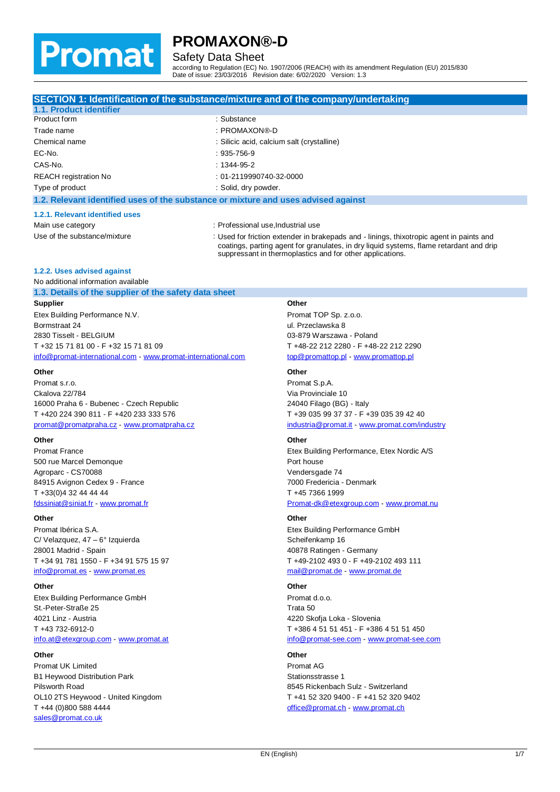

## Safety Data Sheet

according to Regulation (EC) No. 1907/2006 (REACH) with its amendment Regulation (EU) 2015/830 Date of issue: 23/03/2016 Revision date: 6/02/2020 Version: 1.3

|                                                                                    | SECTION 1: Identification of the substance/mixture and of the company/undertaking                                                                                                                                                                |
|------------------------------------------------------------------------------------|--------------------------------------------------------------------------------------------------------------------------------------------------------------------------------------------------------------------------------------------------|
| 1.1. Product identifier                                                            |                                                                                                                                                                                                                                                  |
| Product form                                                                       | : Substance                                                                                                                                                                                                                                      |
| Trade name                                                                         | : PROMAXON®-D                                                                                                                                                                                                                                    |
| Chemical name                                                                      | : Silicic acid, calcium salt (crystalline)                                                                                                                                                                                                       |
| EC-No.                                                                             | $: 935 - 756 - 9$                                                                                                                                                                                                                                |
| CAS-No.                                                                            | $: 1344 - 95 - 2$                                                                                                                                                                                                                                |
| <b>REACH</b> registration No                                                       | : 01-2119990740-32-0000                                                                                                                                                                                                                          |
| Type of product                                                                    | : Solid, dry powder.                                                                                                                                                                                                                             |
| 1.2. Relevant identified uses of the substance or mixture and uses advised against |                                                                                                                                                                                                                                                  |
| 1.2.1. Relevant identified uses                                                    |                                                                                                                                                                                                                                                  |
| Main use category                                                                  | : Professional use, Industrial use                                                                                                                                                                                                               |
| Use of the substance/mixture                                                       | : Used for friction extender in brakepads and - linings, thixotropic agent in paints and<br>coatings, parting agent for granulates, in dry liquid systems, flame retardant and drip<br>suppressant in thermoplastics and for other applications. |
| 1.2.2. Uses advised against                                                        |                                                                                                                                                                                                                                                  |
| No additional information available                                                |                                                                                                                                                                                                                                                  |
| 1.3. Details of the supplier of the safety data sheet                              |                                                                                                                                                                                                                                                  |
| C                                                                                  | $\mathsf{A}$ thar                                                                                                                                                                                                                                |

**Supplier** Etex Building Performance N.V. Bormstraat 24 2830 Tisselt - BELGIUM T +32 15 71 81 00 - F +32 15 71 81 09 [info@promat-international.com](mailto:info@promat-international.com) - <www.promat-international.com>

#### **Other**

Promat s.r.o. Ckalova 22/784 16000 Praha 6 - Bubenec - Czech Republic T +420 224 390 811 - F +420 233 333 576 [promat@promatpraha.cz](mailto:promat@promatpraha.cz) - <www.promatpraha.cz>

#### **Other**

Promat France 500 rue Marcel Demonque Agroparc - CS70088 84915 Avignon Cedex 9 - France T +33(0)4 32 44 44 44 [fdssiniat@siniat.fr](mailto:fdssiniat@siniat.fr) - <www.promat.fr>

#### **Other**

Promat Ibérica S.A. C/ Velazquez, 47 – 6° Izquierda 28001 Madrid - Spain T +34 91 781 1550 - F +34 91 575 15 97 [info@promat.es](mailto:info@promat.es) - <www.promat.es>

#### **Other**

Etex Building Performance GmbH St.-Peter-Straße 25 4021 Linz - Austria T +43 732-6912-0 [info.at@etexgroup.com](mailto:info.at@etexgroup.com) - <www.promat.at>

#### **Other**

Promat UK Limited B1 Heywood Distribution Park Pilsworth Road OL10 2TS Heywood - United Kingdom T +44 (0)800 588 4444 [sales@promat.co.uk](mailto:sales@promat.co.uk)

#### **Other**

Promat TOP Sp. z.o.o. ul. Przeclawska 8 03-879 Warszawa - Poland T +48-22 212 2280 - F +48-22 212 2290 [top@promattop.pl](mailto:top@promattop.pl) - <www.promattop.pl>

#### **Other**

Promat S.p.A. Via Provinciale 10 24040 Filago (BG) - Italy T +39 035 99 37 37 - F +39 035 39 42 40 [industria@promat.it](mailto:industria@promat.it) - <www.promat.com/industry>

#### **Other**

Etex Building Performance, Etex Nordic A/S Port house Vendersgade 74 7000 Fredericia - Denmark T +45 7366 1999 [Promat-dk@etexgroup.com](mailto:Promat-dk@etexgroup.com) - <www.promat.nu>

#### **Other**

Etex Building Performance GmbH Scheifenkamp 16 40878 Ratingen - Germany T +49-2102 493 0 - F +49-2102 493 111 [mail@promat.de](mailto:mail@promat.de) - <www.promat.de>

#### **Other**

Promat d.o.o. Trata 50 4220 Skofja Loka - Slovenia T +386 4 51 51 451 - F +386 4 51 51 450 [info@promat-see.com](mailto:info@promat-see.com) - <www.promat-see.com>

#### **Other**

Promat AG Stationsstrasse 1 8545 Rickenbach Sulz - Switzerland T +41 52 320 9400 - F +41 52 320 9402 [office@promat.ch](mailto:office@promat.ch) - <www.promat.ch>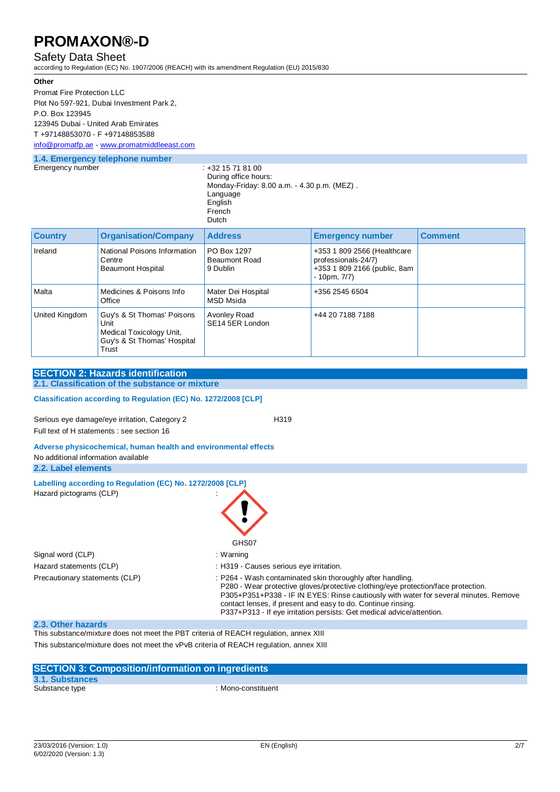### Safety Data Sheet

according to Regulation (EC) No. 1907/2006 (REACH) with its amendment Regulation (EU) 2015/830

#### **Other**

Promat Fire Protection LLC Plot No 597-921, Dubai Investment Park 2, P.O. Box 123945 123945 Dubai - United Arab Emirates T +97148853070 - F +97148853588

### **1.4. Emergency telephone number** [info@promatfp.ae](mailto:info@promatfp.ae) - <www.promatmiddleeast.com>

|              |  |  | <b>1.4. Emergency tele</b> |
|--------------|--|--|----------------------------|
| Emaranoumbar |  |  |                            |

Emergency number : +32 15 71 81 00 During office hours: Monday-Friday: 8.00 a.m. - 4.30 p.m. (MEZ) . Language English French Dutch

| <b>Country</b> | <b>Organisation/Company</b>                                                                            | <b>Address</b>                           | <b>Emergency number</b>                                                                                 | <b>Comment</b> |
|----------------|--------------------------------------------------------------------------------------------------------|------------------------------------------|---------------------------------------------------------------------------------------------------------|----------------|
| Ireland        | National Poisons Information<br>Centre<br><b>Beaumont Hospital</b>                                     | PO Box 1297<br>Beaumont Road<br>9 Dublin | +353 1 809 2566 (Healthcare<br>professionals-24/7)<br>+353 1 809 2166 (public, 8am<br>$-10$ pm, $7/7$ ) |                |
| Malta          | Medicines & Poisons Info<br>Office                                                                     | Mater Dei Hospital<br>MSD Msida          | +356 2545 6504                                                                                          |                |
| United Kingdom | Guy's & St Thomas' Poisons<br>Unit<br>Medical Toxicology Unit,<br>Guy's & St Thomas' Hospital<br>Trust | Avonley Road<br>SE14 5ER London          | +44 20 7188 7188                                                                                        |                |

## **SECTION 2: Hazards identification 2.1. Classification of the substance or mixture Classification according to Regulation (EC) No. 1272/2008 [CLP]** Serious eye damage/eye irritation, Category 2 H319

Full text of H statements : see section 16

#### **Adverse physicochemical, human health and environmental effects** No additional information available **2.2. Label elements**

| Labelling according to Regulation (EC) No. 1272/2008 [CLP]<br>Hazard pictograms (CLP) | GHS07                                                                                                                                                                                                                                                                                                                                                                            |
|---------------------------------------------------------------------------------------|----------------------------------------------------------------------------------------------------------------------------------------------------------------------------------------------------------------------------------------------------------------------------------------------------------------------------------------------------------------------------------|
| Signal word (CLP)                                                                     | : Warning                                                                                                                                                                                                                                                                                                                                                                        |
| Hazard statements (CLP)                                                               | : H319 - Causes serious eye irritation.                                                                                                                                                                                                                                                                                                                                          |
| Precautionary statements (CLP)                                                        | : P264 - Wash contaminated skin thoroughly after handling.<br>P280 - Wear protective gloves/protective clothing/eye protection/face protection.<br>P305+P351+P338 - IF IN EYES: Rinse cautiously with water for several minutes. Remove<br>contact lenses, if present and easy to do. Continue rinsing.<br>P337+P313 - If eye irritation persists: Get medical advice/attention. |

### **2.3. Other hazards**

This substance/mixture does not meet the PBT criteria of REACH regulation, annex XIII This substance/mixture does not meet the vPvB criteria of REACH regulation, annex XIII

| <b>SECTION 3: Composition/information on ingredients</b> |                    |  |
|----------------------------------------------------------|--------------------|--|
| 3.1. Substances                                          |                    |  |
| Substance type                                           | : Mono-constituent |  |
|                                                          |                    |  |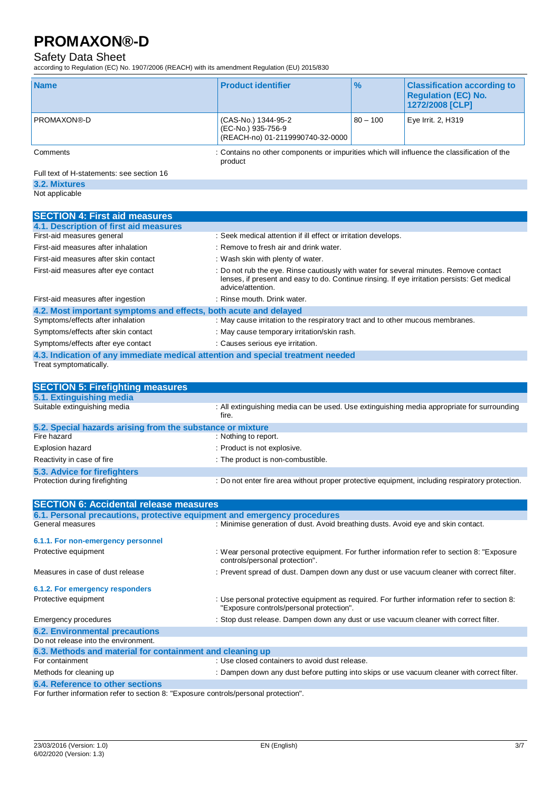## Safety Data Sheet

according to Regulation (EC) No. 1907/2006 (REACH) with its amendment Regulation (EU) 2015/830

| <b>Name</b>        | <b>Product identifier</b>                                                                   | $\frac{9}{6}$ | <b>Classification according to</b><br><b>Regulation (EC) No.</b><br>1272/2008 [CLP] |
|--------------------|---------------------------------------------------------------------------------------------|---------------|-------------------------------------------------------------------------------------|
| <b>PROMAXON®-D</b> | (CAS-No.) 1344-95-2<br>(EC-No.) 935-756-9<br>(REACH-no) 01-2119990740-32-0000               | $80 - 100$    | Eye Irrit. 2, H319                                                                  |
| Comments           | : Contains no other components or impurities which will influence the classification of the |               |                                                                                     |

product

Full text of H-statements: see section 16

**3.2. Mixtures**

Not applicable

| <b>SECTION 4: First aid measures</b>                                            |                                                                                                                                                                                                            |
|---------------------------------------------------------------------------------|------------------------------------------------------------------------------------------------------------------------------------------------------------------------------------------------------------|
| 4.1. Description of first aid measures                                          |                                                                                                                                                                                                            |
| First-aid measures general                                                      | : Seek medical attention if ill effect or irritation develops.                                                                                                                                             |
| First-aid measures after inhalation                                             | : Remove to fresh air and drink water.                                                                                                                                                                     |
| First-aid measures after skin contact                                           | : Wash skin with plenty of water.                                                                                                                                                                          |
| First-aid measures after eye contact                                            | : Do not rub the eye. Rinse cautiously with water for several minutes. Remove contact<br>lenses, if present and easy to do. Continue rinsing. If eye irritation persists: Get medical<br>advice/attention. |
| First-aid measures after ingestion                                              | : Rinse mouth. Drink water.                                                                                                                                                                                |
| 4.2. Most important symptoms and effects, both acute and delayed                |                                                                                                                                                                                                            |
| Symptoms/effects after inhalation                                               | : May cause irritation to the respiratory tract and to other mucous membranes.                                                                                                                             |
| Symptoms/effects after skin contact                                             | : May cause temporary irritation/skin rash.                                                                                                                                                                |
| Symptoms/effects after eye contact                                              | : Causes serious eye irritation.                                                                                                                                                                           |
| 4.3. Indication of any immediate medical attention and special treatment needed |                                                                                                                                                                                                            |
| Treat symptomatically.                                                          |                                                                                                                                                                                                            |

| <b>SECTION 5: Firefighting measures</b>                    |                                                                                                     |
|------------------------------------------------------------|-----------------------------------------------------------------------------------------------------|
| 5.1. Extinguishing media                                   |                                                                                                     |
| Suitable extinguishing media                               | : All extinguishing media can be used. Use extinguishing media appropriate for surrounding<br>fire. |
| 5.2. Special hazards arising from the substance or mixture |                                                                                                     |
| Fire hazard                                                | : Nothing to report.                                                                                |
| Explosion hazard                                           | : Product is not explosive.                                                                         |
| Reactivity in case of fire                                 | : The product is non-combustible.                                                                   |
| 5.3. Advice for firefighters                               |                                                                                                     |
| Protection during firefighting                             | : Do not enter fire area without proper protective equipment, including respiratory protection.     |
|                                                            |                                                                                                     |
| <b>SECTION 6: Accidental release measures</b>              |                                                                                                     |

| 6.1. Personal precautions, protective equipment and emergency procedures |                                                                                                                                          |
|--------------------------------------------------------------------------|------------------------------------------------------------------------------------------------------------------------------------------|
| General measures                                                         | : Minimise generation of dust. Avoid breathing dusts. Avoid eye and skin contact.                                                        |
| 6.1.1. For non-emergency personnel                                       |                                                                                                                                          |
| Protective equipment                                                     | : Wear personal protective equipment. For further information refer to section 8: "Exposure"<br>controls/personal protection".           |
| Measures in case of dust release                                         | : Prevent spread of dust. Dampen down any dust or use vacuum cleaner with correct filter.                                                |
| 6.1.2. For emergency responders                                          |                                                                                                                                          |
| Protective equipment                                                     | : Use personal protective equipment as required. For further information refer to section 8:<br>"Exposure controls/personal protection". |
| <b>Emergency procedures</b>                                              | : Stop dust release. Dampen down any dust or use vacuum cleaner with correct filter.                                                     |
| <b>6.2. Environmental precautions</b>                                    |                                                                                                                                          |
| Do not release into the environment.                                     |                                                                                                                                          |
| 6.3. Methods and material for containment and cleaning up                |                                                                                                                                          |
| For containment                                                          | : Use closed containers to avoid dust release.                                                                                           |
| Methods for cleaning up                                                  | : Dampen down any dust before putting into skips or use vacuum cleaner with correct filter.                                              |
| 6.4. Reference to other sections                                         |                                                                                                                                          |

For further information refer to section 8: "Exposure controls/personal protection".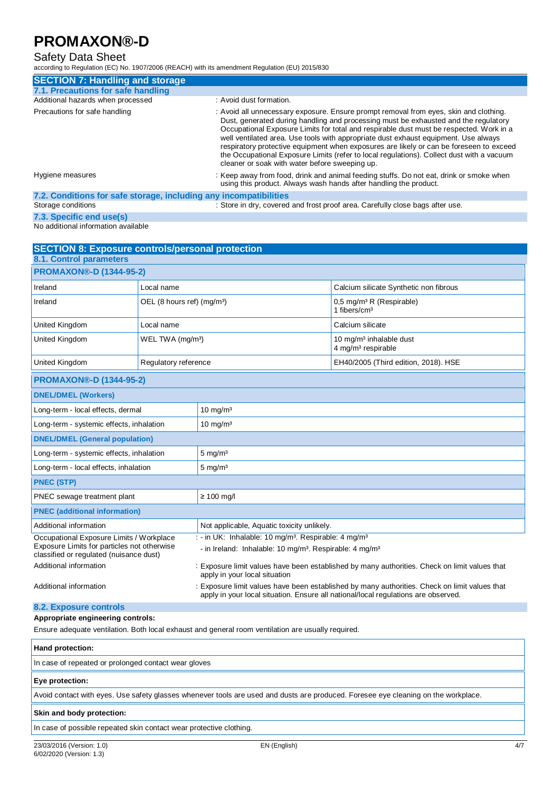## Safety Data Sheet

according to Regulation (EC) No. 1907/2006 (REACH) with its amendment Regulation (EU) 2015/830

| <b>SECTION 7: Handling and storage</b>                            |                                                                                                                                                                                                                                                                                                                                                                                                                                                                                                                                                                                                          |
|-------------------------------------------------------------------|----------------------------------------------------------------------------------------------------------------------------------------------------------------------------------------------------------------------------------------------------------------------------------------------------------------------------------------------------------------------------------------------------------------------------------------------------------------------------------------------------------------------------------------------------------------------------------------------------------|
| 7.1. Precautions for safe handling                                |                                                                                                                                                                                                                                                                                                                                                                                                                                                                                                                                                                                                          |
| Additional hazards when processed                                 | : Avoid dust formation.                                                                                                                                                                                                                                                                                                                                                                                                                                                                                                                                                                                  |
| Precautions for safe handling                                     | : Avoid all unnecessary exposure. Ensure prompt removal from eyes, skin and clothing.<br>Dust, generated during handling and processing must be exhausted and the regulatory<br>Occupational Exposure Limits for total and respirable dust must be respected. Work in a<br>well ventilated area. Use tools with appropriate dust exhaust equipment. Use always<br>respiratory protective equipment when exposures are likely or can be foreseen to exceed<br>the Occupational Exposure Limits (refer to local regulations). Collect dust with a vacuum<br>cleaner or soak with water before sweeping up. |
| Hygiene measures                                                  | : Keep away from food, drink and animal feeding stuffs. Do not eat, drink or smoke when<br>using this product. Always wash hands after handling the product.                                                                                                                                                                                                                                                                                                                                                                                                                                             |
| 7.2. Conditions for safe storage, including any incompatibilities |                                                                                                                                                                                                                                                                                                                                                                                                                                                                                                                                                                                                          |

## Storage conditions **State of the Conduct of Conductant Conducts** Store in dry, covered and frost proof area. Carefully close bags after use.

**7.3. Specific end use(s)** No additional information available

| <b>SECTION 8: Exposure controls/personal protection</b>                                |                                        |                                                                                    |                                                                                               |
|----------------------------------------------------------------------------------------|----------------------------------------|------------------------------------------------------------------------------------|-----------------------------------------------------------------------------------------------|
| 8.1. Control parameters                                                                |                                        |                                                                                    |                                                                                               |
| <b>PROMAXON®-D (1344-95-2)</b>                                                         |                                        |                                                                                    |                                                                                               |
| Ireland                                                                                | Local name                             |                                                                                    | Calcium silicate Synthetic non fibrous                                                        |
| Ireland                                                                                | OEL (8 hours ref) (mg/m <sup>3</sup> ) |                                                                                    | $0.5 \text{ mg/m}^3 \text{ R}$ (Respirable)<br>1 fibers/cm <sup>3</sup>                       |
| <b>United Kingdom</b>                                                                  | Local name                             |                                                                                    | Calcium silicate                                                                              |
| United Kingdom                                                                         | WEL TWA (mg/m <sup>3</sup> )           |                                                                                    | 10 mg/m <sup>3</sup> inhalable dust<br>4 mg/m <sup>3</sup> respirable                         |
| United Kingdom                                                                         | Regulatory reference                   |                                                                                    | EH40/2005 (Third edition, 2018). HSE                                                          |
| <b>PROMAXON®-D (1344-95-2)</b>                                                         |                                        |                                                                                    |                                                                                               |
| <b>DNEL/DMEL (Workers)</b>                                                             |                                        |                                                                                    |                                                                                               |
| Long-term - local effects, dermal                                                      |                                        | $10 \text{ mg/m}^3$                                                                |                                                                                               |
| Long-term - systemic effects, inhalation                                               |                                        | $10 \text{ mg/m}^3$                                                                |                                                                                               |
| <b>DNEL/DMEL (General population)</b>                                                  |                                        |                                                                                    |                                                                                               |
| Long-term - systemic effects, inhalation                                               |                                        | $5 \text{ mg/m}^3$                                                                 |                                                                                               |
| Long-term - local effects, inhalation                                                  |                                        | $5$ mg/m <sup>3</sup>                                                              |                                                                                               |
| <b>PNEC (STP)</b>                                                                      |                                        |                                                                                    |                                                                                               |
| PNEC sewage treatment plant                                                            |                                        | $\geq 100$ mg/l                                                                    |                                                                                               |
| <b>PNEC</b> (additional information)                                                   |                                        |                                                                                    |                                                                                               |
| Additional information                                                                 |                                        | Not applicable, Aquatic toxicity unlikely.                                         |                                                                                               |
| Occupational Exposure Limits / Workplace                                               |                                        | : - in UK: Inhalable: 10 mg/m <sup>3</sup> . Respirable: 4 mg/m <sup>3</sup>       |                                                                                               |
| Exposure Limits for particles not otherwise<br>classified or regulated (nuisance dust) |                                        | - in Ireland: Inhalable: 10 mg/m <sup>3</sup> . Respirable: 4 mg/m <sup>3</sup>    |                                                                                               |
| Additional information                                                                 |                                        | apply in your local situation                                                      | : Exposure limit values have been established by many authorities. Check on limit values that |
| Additional information                                                                 |                                        | apply in your local situation. Ensure all national/local regulations are observed. | : Exposure limit values have been established by many authorities. Check on limit values that |
| 8.2. Exposure controls                                                                 |                                        |                                                                                    |                                                                                               |

#### **Appropriate engineering controls:**

Ensure adequate ventilation. Both local exhaust and general room ventilation are usually required.

#### **Hand protection:**

In case of repeated or prolonged contact wear gloves

#### **Eye protection:**

Avoid contact with eyes. Use safety glasses whenever tools are used and dusts are produced. Foresee eye cleaning on the workplace.

#### **Skin and body protection:**

In case of possible repeated skin contact wear protective clothing.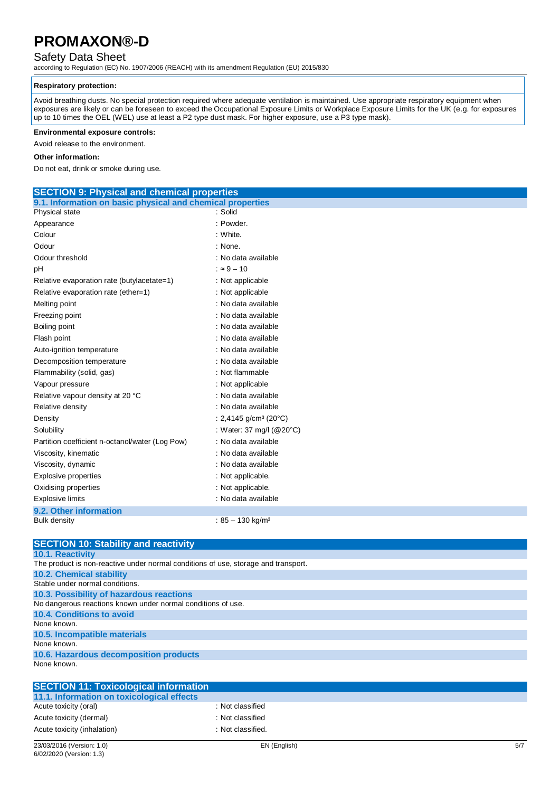## Safety Data Sheet

according to Regulation (EC) No. 1907/2006 (REACH) with its amendment Regulation (EU) 2015/830

#### **Respiratory protection:**

Avoid breathing dusts. No special protection required where adequate ventilation is maintained. Use appropriate respiratory equipment when exposures are likely or can be foreseen to exceed the Occupational Exposure Limits or Workplace Exposure Limits for the UK (e.g. for exposures up to 10 times the OEL (WEL) use at least a P2 type dust mask. For higher exposure, use a P3 type mask).

#### **Environmental exposure controls:**

Avoid release to the environment.

#### **Other information:**

Do not eat, drink or smoke during use.

| 9.1. Information on basic physical and chemical properties<br>Physical state<br>: Solid<br>: Powder.<br>Appearance<br>Colour<br>: White.<br>Odour<br>: None.<br>: No data available<br>Odour threshold<br>$: 9 - 10$<br>рH<br>Relative evaporation rate (butylacetate=1)<br>: Not applicable<br>Relative evaporation rate (ether=1)<br>: Not applicable<br>: No data available<br>Melting point<br>Freezing point<br>: No data available<br>Boiling point<br>: No data available<br>: No data available<br>Flash point<br>: No data available<br>Auto-ignition temperature<br>Decomposition temperature<br>: No data available<br>: Not flammable<br>Flammability (solid, gas)<br>Vapour pressure<br>: Not applicable<br>: No data available<br>Relative vapour density at 20 °C<br>Relative density<br>: No data available<br>Density<br>: 2,4145 g/cm <sup>3</sup> (20 $^{\circ}$ C)<br>Solubility<br>: Water: 37 mg/l (@20°C)<br>: No data available<br>Partition coefficient n-octanol/water (Log Pow)<br>Viscosity, kinematic<br>: No data available |
|-----------------------------------------------------------------------------------------------------------------------------------------------------------------------------------------------------------------------------------------------------------------------------------------------------------------------------------------------------------------------------------------------------------------------------------------------------------------------------------------------------------------------------------------------------------------------------------------------------------------------------------------------------------------------------------------------------------------------------------------------------------------------------------------------------------------------------------------------------------------------------------------------------------------------------------------------------------------------------------------------------------------------------------------------------------|
|                                                                                                                                                                                                                                                                                                                                                                                                                                                                                                                                                                                                                                                                                                                                                                                                                                                                                                                                                                                                                                                           |
|                                                                                                                                                                                                                                                                                                                                                                                                                                                                                                                                                                                                                                                                                                                                                                                                                                                                                                                                                                                                                                                           |
|                                                                                                                                                                                                                                                                                                                                                                                                                                                                                                                                                                                                                                                                                                                                                                                                                                                                                                                                                                                                                                                           |
|                                                                                                                                                                                                                                                                                                                                                                                                                                                                                                                                                                                                                                                                                                                                                                                                                                                                                                                                                                                                                                                           |
|                                                                                                                                                                                                                                                                                                                                                                                                                                                                                                                                                                                                                                                                                                                                                                                                                                                                                                                                                                                                                                                           |
|                                                                                                                                                                                                                                                                                                                                                                                                                                                                                                                                                                                                                                                                                                                                                                                                                                                                                                                                                                                                                                                           |
|                                                                                                                                                                                                                                                                                                                                                                                                                                                                                                                                                                                                                                                                                                                                                                                                                                                                                                                                                                                                                                                           |
|                                                                                                                                                                                                                                                                                                                                                                                                                                                                                                                                                                                                                                                                                                                                                                                                                                                                                                                                                                                                                                                           |
|                                                                                                                                                                                                                                                                                                                                                                                                                                                                                                                                                                                                                                                                                                                                                                                                                                                                                                                                                                                                                                                           |
|                                                                                                                                                                                                                                                                                                                                                                                                                                                                                                                                                                                                                                                                                                                                                                                                                                                                                                                                                                                                                                                           |
|                                                                                                                                                                                                                                                                                                                                                                                                                                                                                                                                                                                                                                                                                                                                                                                                                                                                                                                                                                                                                                                           |
|                                                                                                                                                                                                                                                                                                                                                                                                                                                                                                                                                                                                                                                                                                                                                                                                                                                                                                                                                                                                                                                           |
|                                                                                                                                                                                                                                                                                                                                                                                                                                                                                                                                                                                                                                                                                                                                                                                                                                                                                                                                                                                                                                                           |
|                                                                                                                                                                                                                                                                                                                                                                                                                                                                                                                                                                                                                                                                                                                                                                                                                                                                                                                                                                                                                                                           |
|                                                                                                                                                                                                                                                                                                                                                                                                                                                                                                                                                                                                                                                                                                                                                                                                                                                                                                                                                                                                                                                           |
|                                                                                                                                                                                                                                                                                                                                                                                                                                                                                                                                                                                                                                                                                                                                                                                                                                                                                                                                                                                                                                                           |
|                                                                                                                                                                                                                                                                                                                                                                                                                                                                                                                                                                                                                                                                                                                                                                                                                                                                                                                                                                                                                                                           |
|                                                                                                                                                                                                                                                                                                                                                                                                                                                                                                                                                                                                                                                                                                                                                                                                                                                                                                                                                                                                                                                           |
|                                                                                                                                                                                                                                                                                                                                                                                                                                                                                                                                                                                                                                                                                                                                                                                                                                                                                                                                                                                                                                                           |
|                                                                                                                                                                                                                                                                                                                                                                                                                                                                                                                                                                                                                                                                                                                                                                                                                                                                                                                                                                                                                                                           |
|                                                                                                                                                                                                                                                                                                                                                                                                                                                                                                                                                                                                                                                                                                                                                                                                                                                                                                                                                                                                                                                           |
|                                                                                                                                                                                                                                                                                                                                                                                                                                                                                                                                                                                                                                                                                                                                                                                                                                                                                                                                                                                                                                                           |
|                                                                                                                                                                                                                                                                                                                                                                                                                                                                                                                                                                                                                                                                                                                                                                                                                                                                                                                                                                                                                                                           |
| Viscosity, dynamic<br>: No data available                                                                                                                                                                                                                                                                                                                                                                                                                                                                                                                                                                                                                                                                                                                                                                                                                                                                                                                                                                                                                 |
| <b>Explosive properties</b><br>: Not applicable.                                                                                                                                                                                                                                                                                                                                                                                                                                                                                                                                                                                                                                                                                                                                                                                                                                                                                                                                                                                                          |
| : Not applicable.<br>Oxidising properties                                                                                                                                                                                                                                                                                                                                                                                                                                                                                                                                                                                                                                                                                                                                                                                                                                                                                                                                                                                                                 |
| : No data available<br><b>Explosive limits</b>                                                                                                                                                                                                                                                                                                                                                                                                                                                                                                                                                                                                                                                                                                                                                                                                                                                                                                                                                                                                            |
| 9.2. Other information                                                                                                                                                                                                                                                                                                                                                                                                                                                                                                                                                                                                                                                                                                                                                                                                                                                                                                                                                                                                                                    |
| : $85 - 130$ kg/m <sup>3</sup><br><b>Bulk density</b>                                                                                                                                                                                                                                                                                                                                                                                                                                                                                                                                                                                                                                                                                                                                                                                                                                                                                                                                                                                                     |

| <b>SECTION 10: Stability and reactivity</b>                                        |
|------------------------------------------------------------------------------------|
| <b>10.1. Reactivity</b>                                                            |
| The product is non-reactive under normal conditions of use, storage and transport. |
| <b>10.2. Chemical stability</b>                                                    |
| Stable under normal conditions.                                                    |
| 10.3. Possibility of hazardous reactions                                           |
| No dangerous reactions known under normal conditions of use.                       |
| 10.4. Conditions to avoid                                                          |
| None known.                                                                        |
| 10.5. Incompatible materials                                                       |
| None known.                                                                        |
| 10.6. Hazardous decomposition products                                             |
| None known.                                                                        |
|                                                                                    |
| <b>SECTION 11: Toxicological information</b>                                       |
| 11.1. Information on toxicological effects                                         |

| 11.1. Information on t  |  |
|-------------------------|--|
| Acute toxicity (oral)   |  |
| Acute toxicity (dermal) |  |

: Not classified : Not classified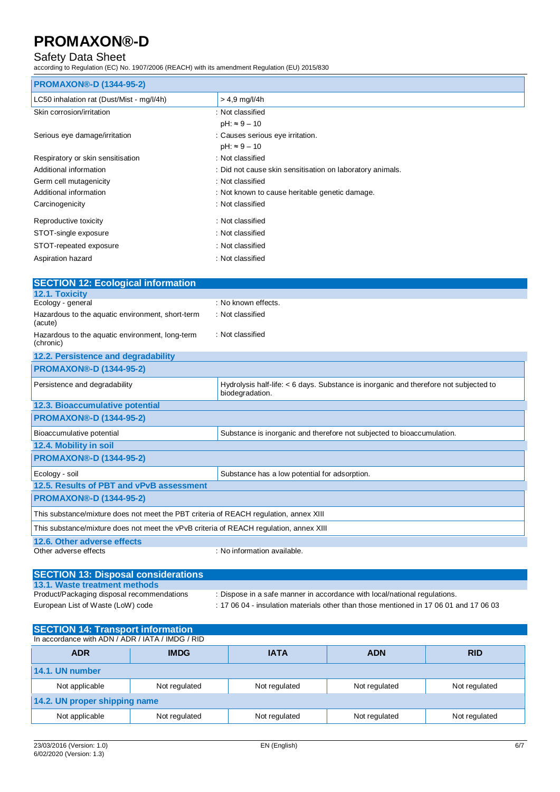## Safety Data Sheet

according to Regulation (EC) No. 1907/2006 (REACH) with its amendment Regulation (EU) 2015/830

| <b>PROMAXON®-D (1344-95-2)</b>            |                                                           |
|-------------------------------------------|-----------------------------------------------------------|
| LC50 inhalation rat (Dust/Mist - mg/l/4h) | $> 4.9$ mg/l/4h                                           |
| Skin corrosion/irritation                 | : Not classified                                          |
|                                           | $pH: \approx 9 - 10$                                      |
| Serious eye damage/irritation             | : Causes serious eye irritation.                          |
|                                           | $pH: \approx 9 - 10$                                      |
| Respiratory or skin sensitisation         | : Not classified                                          |
| Additional information                    | : Did not cause skin sensitisation on laboratory animals. |
| Germ cell mutagenicity                    | : Not classified                                          |
| Additional information                    | : Not known to cause heritable genetic damage.            |
| Carcinogenicity                           | : Not classified                                          |
| Reproductive toxicity                     | : Not classified                                          |
| STOT-single exposure                      | : Not classified                                          |
| STOT-repeated exposure                    | : Not classified                                          |
| Aspiration hazard                         | : Not classified                                          |

| <b>SECTION 12: Ecological information</b>                                              |                                                                                                          |  |
|----------------------------------------------------------------------------------------|----------------------------------------------------------------------------------------------------------|--|
| 12.1. Toxicity                                                                         |                                                                                                          |  |
| Ecology - general                                                                      | : No known effects.                                                                                      |  |
| Hazardous to the aquatic environment, short-term<br>(acute)                            | : Not classified                                                                                         |  |
| Hazardous to the aquatic environment, long-term<br>(chronic)                           | : Not classified                                                                                         |  |
| 12.2. Persistence and degradability                                                    |                                                                                                          |  |
| <b>PROMAXON®-D (1344-95-2)</b>                                                         |                                                                                                          |  |
| Persistence and degradability                                                          | Hydrolysis half-life: < 6 days. Substance is inorganic and therefore not subjected to<br>biodegradation. |  |
| 12.3. Bioaccumulative potential                                                        |                                                                                                          |  |
| <b>PROMAXON®-D (1344-95-2)</b>                                                         |                                                                                                          |  |
| Bioaccumulative potential                                                              | Substance is inorganic and therefore not subjected to bioaccumulation.                                   |  |
| 12.4. Mobility in soil                                                                 |                                                                                                          |  |
| <b>PROMAXON®-D (1344-95-2)</b>                                                         |                                                                                                          |  |
| Ecology - soil                                                                         | Substance has a low potential for adsorption.                                                            |  |
| 12.5. Results of PBT and vPvB assessment                                               |                                                                                                          |  |
| <b>PROMAXON®-D (1344-95-2)</b>                                                         |                                                                                                          |  |
| This substance/mixture does not meet the PBT criteria of REACH regulation, annex XIII  |                                                                                                          |  |
| This substance/mixture does not meet the vPvB criteria of REACH regulation, annex XIII |                                                                                                          |  |

**12.6. Other adverse effects**

: No information available.

## **SECTION 13: Disposal considerations 13.1. Waste treatment methods**

: Dispose in a safe manner in accordance with local/national regulations. European List of Waste (LoW) code : 17 06 04 - insulation materials other than those mentioned in 17 06 01 and 17 06 03

| <b>SECTION 14: Transport information</b><br>In accordance with ADN / ADR / IATA / IMDG / RID |               |               |               |               |
|----------------------------------------------------------------------------------------------|---------------|---------------|---------------|---------------|
| <b>ADR</b>                                                                                   | <b>IMDG</b>   | <b>IATA</b>   | <b>ADN</b>    | <b>RID</b>    |
| 14.1. UN number                                                                              |               |               |               |               |
| Not applicable                                                                               | Not regulated | Not regulated | Not regulated | Not regulated |
| 14.2. UN proper shipping name                                                                |               |               |               |               |
| Not applicable                                                                               | Not regulated | Not regulated | Not regulated | Not regulated |